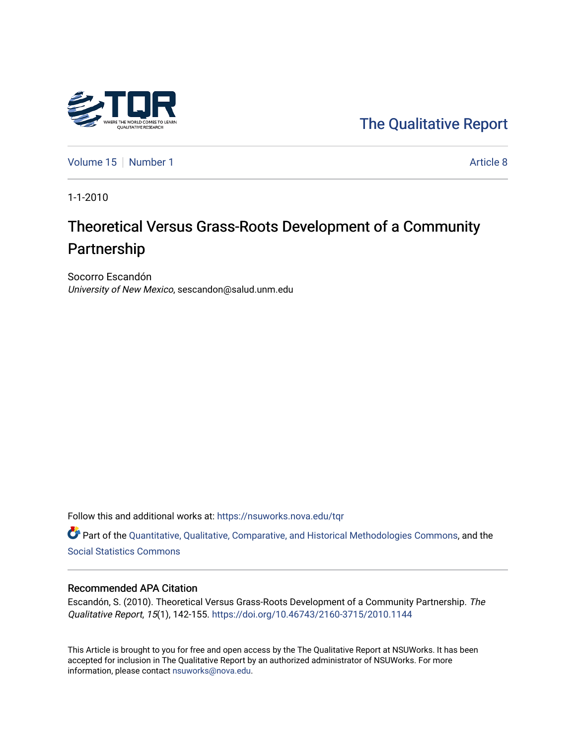

[The Qualitative Report](https://nsuworks.nova.edu/tqr) 

[Volume 15](https://nsuworks.nova.edu/tqr/vol15) [Number 1](https://nsuworks.nova.edu/tqr/vol15/iss1) Article 8

1-1-2010

# Theoretical Versus Grass-Roots Development of a Community Partnership

Socorro Escandón University of New Mexico, sescandon@salud.unm.edu

Follow this and additional works at: [https://nsuworks.nova.edu/tqr](https://nsuworks.nova.edu/tqr?utm_source=nsuworks.nova.edu%2Ftqr%2Fvol15%2Fiss1%2F8&utm_medium=PDF&utm_campaign=PDFCoverPages) 

Part of the [Quantitative, Qualitative, Comparative, and Historical Methodologies Commons,](http://network.bepress.com/hgg/discipline/423?utm_source=nsuworks.nova.edu%2Ftqr%2Fvol15%2Fiss1%2F8&utm_medium=PDF&utm_campaign=PDFCoverPages) and the [Social Statistics Commons](http://network.bepress.com/hgg/discipline/1275?utm_source=nsuworks.nova.edu%2Ftqr%2Fvol15%2Fiss1%2F8&utm_medium=PDF&utm_campaign=PDFCoverPages) 

### Recommended APA Citation

Escandón, S. (2010). Theoretical Versus Grass-Roots Development of a Community Partnership. The Qualitative Report, 15(1), 142-155.<https://doi.org/10.46743/2160-3715/2010.1144>

This Article is brought to you for free and open access by the The Qualitative Report at NSUWorks. It has been accepted for inclusion in The Qualitative Report by an authorized administrator of NSUWorks. For more information, please contact [nsuworks@nova.edu.](mailto:nsuworks@nova.edu)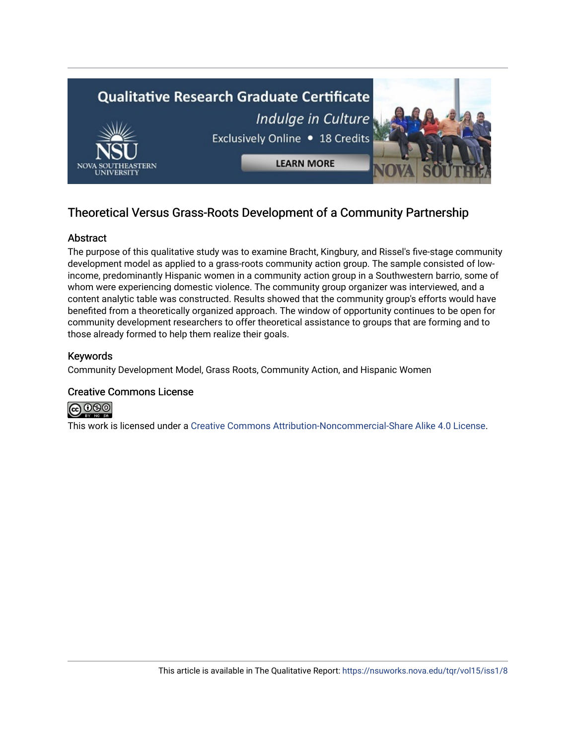

## Theoretical Versus Grass-Roots Development of a Community Partnership

### Abstract

The purpose of this qualitative study was to examine Bracht, Kingbury, and Rissel's five-stage community development model as applied to a grass-roots community action group. The sample consisted of lowincome, predominantly Hispanic women in a community action group in a Southwestern barrio, some of whom were experiencing domestic violence. The community group organizer was interviewed, and a content analytic table was constructed. Results showed that the community group's efforts would have benefited from a theoretically organized approach. The window of opportunity continues to be open for community development researchers to offer theoretical assistance to groups that are forming and to those already formed to help them realize their goals.

### Keywords

Community Development Model, Grass Roots, Community Action, and Hispanic Women

### Creative Commons License



This work is licensed under a [Creative Commons Attribution-Noncommercial-Share Alike 4.0 License](https://creativecommons.org/licenses/by-nc-sa/4.0/).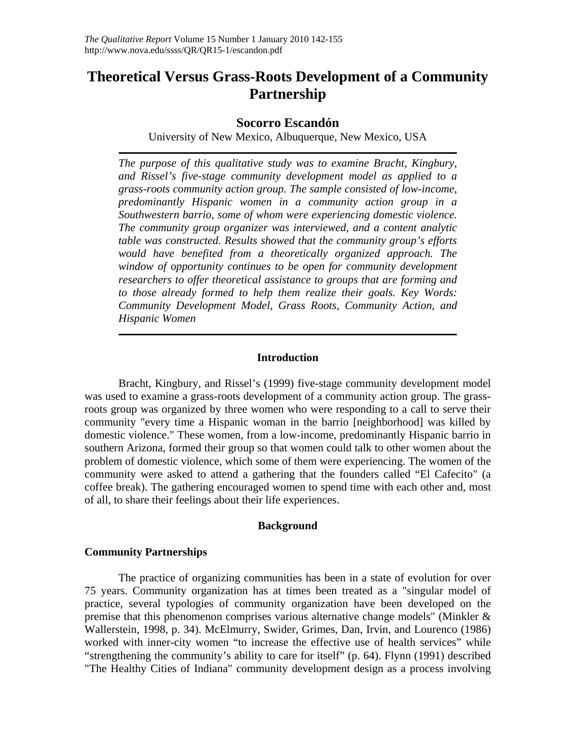# **Theoretical Versus Grass-Roots Development of a Community Partnership**

### **Socorro Escandón**

University of New Mexico, Albuquerque, New Mexico, USA

*The purpose of this qualitative study was to examine Bracht, Kingbury, and Rissel's five-stage community development model as applied to a grass-roots community action group. The sample consisted of low-income, predominantly Hispanic women in a community action group in a Southwestern barrio, some of whom were experiencing domestic violence. The community group organizer was interviewed, and a content analytic table was constructed. Results showed that the community group's efforts would have benefited from a theoretically organized approach. The window of opportunity continues to be open for community development researchers to offer theoretical assistance to groups that are forming and to those already formed to help them realize their goals. Key Words: Community Development Model, Grass Roots, Community Action, and Hispanic Women* 

### **Introduction**

Bracht, Kingbury, and Rissel's (1999) five-stage community development model was used to examine a grass-roots development of a community action group. The grassroots group was organized by three women who were responding to a call to serve their community "every time a Hispanic woman in the barrio [neighborhood] was killed by domestic violence." These women, from a low-income, predominantly Hispanic barrio in southern Arizona, formed their group so that women could talk to other women about the problem of domestic violence, which some of them were experiencing. The women of the community were asked to attend a gathering that the founders called "El Cafecito" (a coffee break). The gathering encouraged women to spend time with each other and, most of all, to share their feelings about their life experiences.

### **Background**

### **Community Partnerships**

The practice of organizing communities has been in a state of evolution for over 75 years. Community organization has at times been treated as a "singular model of practice, several typologies of community organization have been developed on the premise that this phenomenon comprises various alternative change models" (Minkler & Wallerstein, 1998, p. 34). McElmurry, Swider, Grimes, Dan, Irvin, and Lourenco (1986) worked with inner-city women "to increase the effective use of health services" while "strengthening the community's ability to care for itself" (p. 64). Flynn (1991) described "The Healthy Cities of Indiana" community development design as a process involving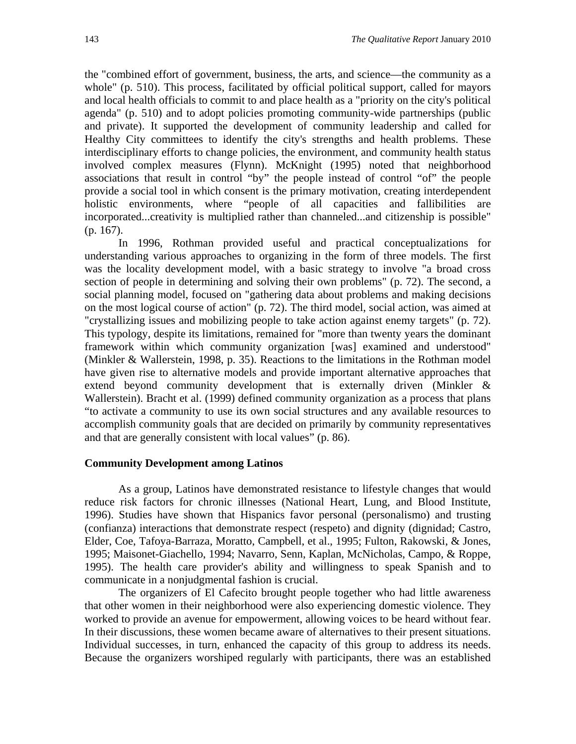the "combined effort of government, business, the arts, and science—the community as a whole" (p. 510). This process, facilitated by official political support, called for mayors and local health officials to commit to and place health as a "priority on the city's political agenda" (p. 510) and to adopt policies promoting community-wide partnerships (public and private). It supported the development of community leadership and called for Healthy City committees to identify the city's strengths and health problems. These interdisciplinary efforts to change policies, the environment, and community health status involved complex measures (Flynn). McKnight (1995) noted that neighborhood associations that result in control "by" the people instead of control "of" the people provide a social tool in which consent is the primary motivation, creating interdependent holistic environments, where "people of all capacities and fallibilities are incorporated...creativity is multiplied rather than channeled...and citizenship is possible" (p. 167).

In 1996, Rothman provided useful and practical conceptualizations for understanding various approaches to organizing in the form of three models. The first was the locality development model, with a basic strategy to involve "a broad cross section of people in determining and solving their own problems" (p. 72). The second, a social planning model, focused on "gathering data about problems and making decisions on the most logical course of action" (p. 72). The third model, social action, was aimed at "crystallizing issues and mobilizing people to take action against enemy targets" (p. 72). This typology, despite its limitations, remained for "more than twenty years the dominant framework within which community organization [was] examined and understood" (Minkler & Wallerstein, 1998, p. 35). Reactions to the limitations in the Rothman model have given rise to alternative models and provide important alternative approaches that extend beyond community development that is externally driven (Minkler & Wallerstein). Bracht et al. (1999) defined community organization as a process that plans "to activate a community to use its own social structures and any available resources to accomplish community goals that are decided on primarily by community representatives and that are generally consistent with local values" (p. 86).

### **Community Development among Latinos**

As a group, Latinos have demonstrated resistance to lifestyle changes that would reduce risk factors for chronic illnesses (National Heart, Lung, and Blood Institute, 1996). Studies have shown that Hispanics favor personal (personalismo) and trusting (confianza) interactions that demonstrate respect (respeto) and dignity (dignidad; Castro, Elder, Coe, Tafoya-Barraza, Moratto, Campbell, et al., 1995; Fulton, Rakowski, & Jones, 1995; Maisonet-Giachello, 1994; Navarro, Senn, Kaplan, McNicholas, Campo, & Roppe, 1995). The health care provider's ability and willingness to speak Spanish and to communicate in a nonjudgmental fashion is crucial.

The organizers of El Cafecito brought people together who had little awareness that other women in their neighborhood were also experiencing domestic violence. They worked to provide an avenue for empowerment, allowing voices to be heard without fear. In their discussions, these women became aware of alternatives to their present situations. Individual successes, in turn, enhanced the capacity of this group to address its needs. Because the organizers worshiped regularly with participants, there was an established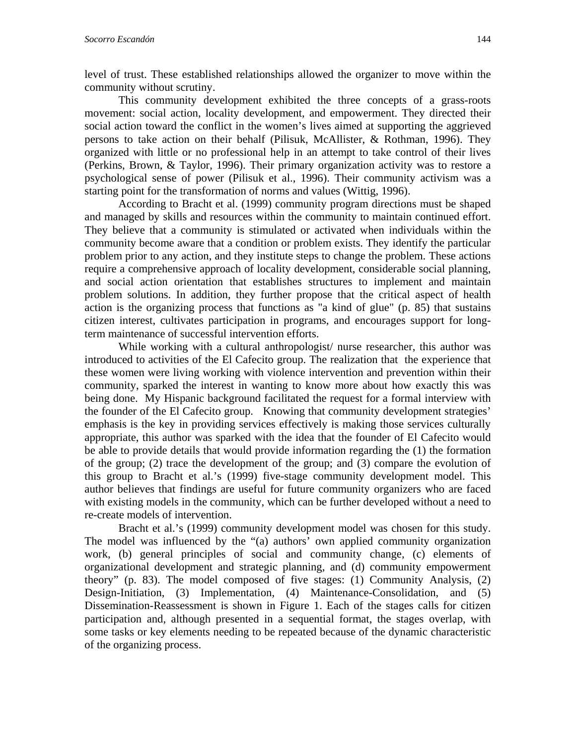level of trust. These established relationships allowed the organizer to move within the community without scrutiny.

This community development exhibited the three concepts of a grass-roots movement: social action, locality development, and empowerment. They directed their social action toward the conflict in the women's lives aimed at supporting the aggrieved persons to take action on their behalf (Pilisuk, McAllister, & Rothman, 1996). They organized with little or no professional help in an attempt to take control of their lives (Perkins, Brown, & Taylor, 1996). Their primary organization activity was to restore a psychological sense of power (Pilisuk et al., 1996). Their community activism was a starting point for the transformation of norms and values (Wittig, 1996).

According to Bracht et al. (1999) community program directions must be shaped and managed by skills and resources within the community to maintain continued effort. They believe that a community is stimulated or activated when individuals within the community become aware that a condition or problem exists. They identify the particular problem prior to any action, and they institute steps to change the problem. These actions require a comprehensive approach of locality development, considerable social planning, and social action orientation that establishes structures to implement and maintain problem solutions. In addition, they further propose that the critical aspect of health action is the organizing process that functions as "a kind of glue" (p. 85) that sustains citizen interest, cultivates participation in programs, and encourages support for longterm maintenance of successful intervention efforts.

While working with a cultural anthropologist/ nurse researcher, this author was introduced to activities of the El Cafecito group. The realization that the experience that these women were living working with violence intervention and prevention within their community, sparked the interest in wanting to know more about how exactly this was being done. My Hispanic background facilitated the request for a formal interview with the founder of the El Cafecito group. Knowing that community development strategies' emphasis is the key in providing services effectively is making those services culturally appropriate, this author was sparked with the idea that the founder of El Cafecito would be able to provide details that would provide information regarding the (1) the formation of the group; (2) trace the development of the group; and (3) compare the evolution of this group to Bracht et al.'s (1999) five-stage community development model. This author believes that findings are useful for future community organizers who are faced with existing models in the community, which can be further developed without a need to re-create models of intervention.

Bracht et al.'s (1999) community development model was chosen for this study. The model was influenced by the "(a) authors' own applied community organization work, (b) general principles of social and community change, (c) elements of organizational development and strategic planning, and (d) community empowerment theory" (p. 83). The model composed of five stages: (1) Community Analysis, (2) Design-Initiation, (3) Implementation, (4) Maintenance-Consolidation, and (5) Dissemination-Reassessment is shown in Figure 1. Each of the stages calls for citizen participation and, although presented in a sequential format, the stages overlap, with some tasks or key elements needing to be repeated because of the dynamic characteristic of the organizing process.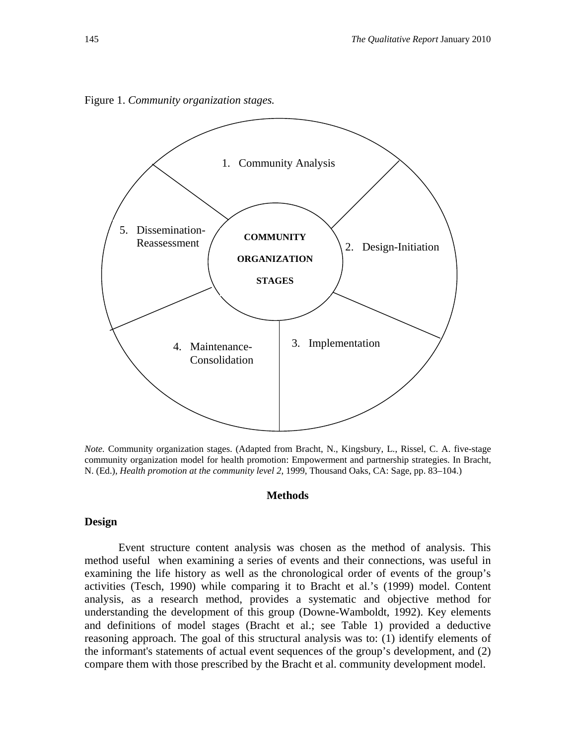

Figure 1. *Community organization stages.*

*Note.* Community organization stages. (Adapted from Bracht, N., Kingsbury, L., Rissel, C. A. five-stage community organization model for health promotion: Empowerment and partnership strategies. In Bracht, N. (Ed.), *Health promotion at the community level 2*, 1999, Thousand Oaks, CA: Sage, pp. 83–104.)

### **Methods**

### **Design**

Event structure content analysis was chosen as the method of analysis. This method useful when examining a series of events and their connections, was useful in examining the life history as well as the chronological order of events of the group's activities (Tesch, 1990) while comparing it to Bracht et al.'s (1999) model. Content analysis, as a research method, provides a systematic and objective method for understanding the development of this group (Downe-Wamboldt, 1992). Key elements and definitions of model stages (Bracht et al.; see Table 1) provided a deductive reasoning approach. The goal of this structural analysis was to: (1) identify elements of the informant's statements of actual event sequences of the group's development, and (2) compare them with those prescribed by the Bracht et al. community development model.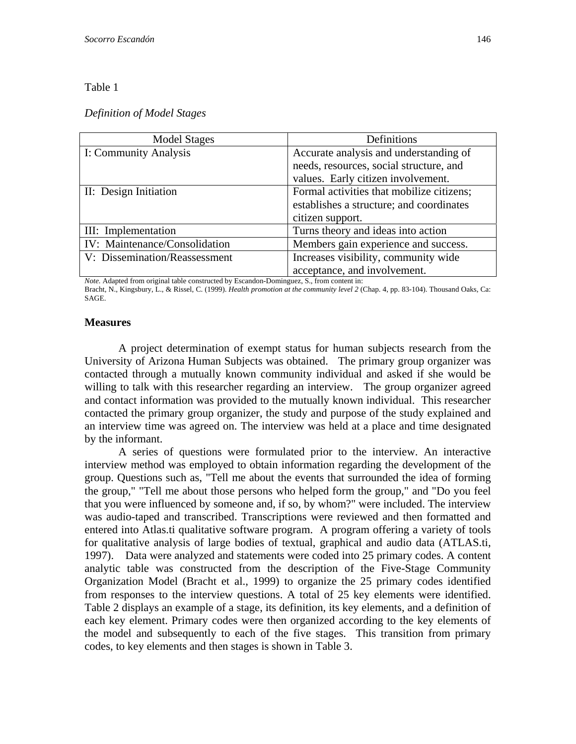### Table 1

### *Definition of Model Stages*

| Model Stages                  | Definitions                               |  |
|-------------------------------|-------------------------------------------|--|
| I: Community Analysis         | Accurate analysis and understanding of    |  |
|                               | needs, resources, social structure, and   |  |
|                               | values. Early citizen involvement.        |  |
| II: Design Initiation         | Formal activities that mobilize citizens; |  |
|                               | establishes a structure; and coordinates  |  |
|                               | citizen support.                          |  |
| III: Implementation           | Turns theory and ideas into action        |  |
| IV: Maintenance/Consolidation | Members gain experience and success.      |  |
| V: Dissemination/Reassessment | Increases visibility, community wide      |  |
|                               | acceptance, and involvement.              |  |

*Note.* Adapted from original table constructed by Escandon-Dominguez, S., from content in:

Bracht, N., Kingsbury, L., & Rissel, C. (1999). *Health promotion at the community level 2* (Chap. 4, pp. 83-104). Thousand Oaks, Ca: SAGE.

### **Measures**

A project determination of exempt status for human subjects research from the University of Arizona Human Subjects was obtained. The primary group organizer was contacted through a mutually known community individual and asked if she would be willing to talk with this researcher regarding an interview. The group organizer agreed and contact information was provided to the mutually known individual. This researcher contacted the primary group organizer, the study and purpose of the study explained and an interview time was agreed on. The interview was held at a place and time designated by the informant.

A series of questions were formulated prior to the interview. An interactive interview method was employed to obtain information regarding the development of the group. Questions such as, "Tell me about the events that surrounded the idea of forming the group," "Tell me about those persons who helped form the group," and "Do you feel that you were influenced by someone and, if so, by whom?" were included. The interview was audio-taped and transcribed. Transcriptions were reviewed and then formatted and entered into Atlas.ti qualitative software program. A program offering a variety of tools for qualitative analysis of large bodies of textual, graphical and audio data (ATLAS.ti, 1997). Data were analyzed and statements were coded into 25 primary codes. A content analytic table was constructed from the description of the Five-Stage Community Organization Model (Bracht et al., 1999) to organize the 25 primary codes identified from responses to the interview questions. A total of 25 key elements were identified. Table 2 displays an example of a stage, its definition, its key elements, and a definition of each key element. Primary codes were then organized according to the key elements of the model and subsequently to each of the five stages. This transition from primary codes, to key elements and then stages is shown in Table 3.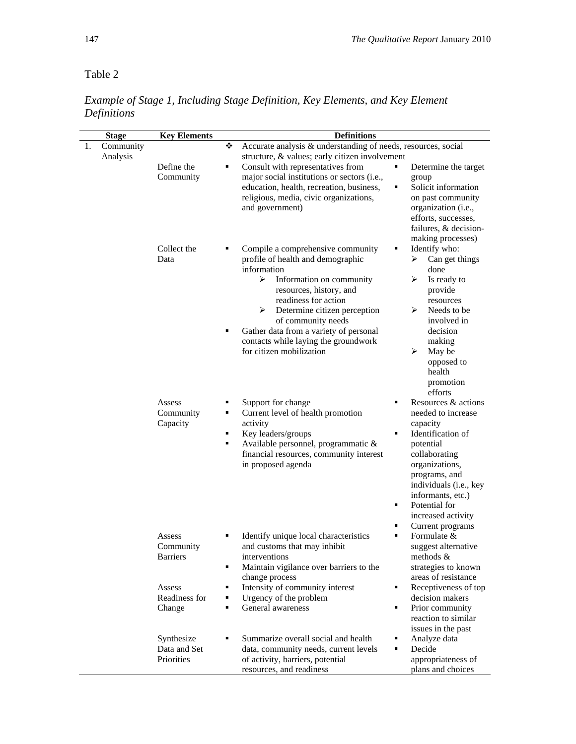Table 2

| <b>Stage</b>       | <b>Key Elements</b>                                                         | <b>Definitions</b>                                                                                                                                                                                                                                                                                                                                                                                                                                                                                                                                                                                                   |  |  |
|--------------------|-----------------------------------------------------------------------------|----------------------------------------------------------------------------------------------------------------------------------------------------------------------------------------------------------------------------------------------------------------------------------------------------------------------------------------------------------------------------------------------------------------------------------------------------------------------------------------------------------------------------------------------------------------------------------------------------------------------|--|--|
| Community<br>1.    |                                                                             | Accurate analysis & understanding of needs, resources, social                                                                                                                                                                                                                                                                                                                                                                                                                                                                                                                                                        |  |  |
| Analysis           | Define the<br>Community                                                     | structure, & values; early citizen involvement<br>Consult with representatives from<br>٠<br>Determine the target<br>major social institutions or sectors (i.e.,<br>group<br>Solicit information<br>education, health, recreation, business,<br>٠<br>religious, media, civic organizations,<br>on past community<br>and government)<br>organization (i.e.,<br>efforts, successes,<br>failures, & decision-                                                                                                                                                                                                            |  |  |
|                    | Collect the<br>Data                                                         | making processes)<br>Identify who:<br>Compile a comprehensive community<br>profile of health and demographic<br>Can get things<br>➤<br>information<br>done<br>$\blacktriangleright$<br>Information on community<br>➤<br>Is ready to<br>resources, history, and<br>provide<br>readiness for action<br>resources<br>Determine citizen perception<br>≻<br>Needs to be<br>➤<br>of community needs<br>involved in<br>Gather data from a variety of personal<br>decision<br>٠<br>contacts while laying the groundwork<br>making<br>for citizen mobilization<br>≻<br>May be<br>opposed to<br>health<br>promotion<br>efforts |  |  |
| Assess<br>Capacity | Community                                                                   | Resources & actions<br>Support for change<br>٠<br>٠<br>Current level of health promotion<br>needed to increase<br>٠<br>activity<br>capacity<br>Key leaders/groups<br>Identification of<br>٠<br>٠<br>Available personnel, programmatic &<br>٠<br>potential<br>financial resources, community interest<br>collaborating<br>in proposed agenda<br>organizations,<br>programs, and<br>individuals (i.e., key<br>informants, etc.)<br>Potential for<br>٠<br>increased activity<br>٠<br>Current programs                                                                                                                   |  |  |
|                    | Assess<br>Community<br><b>Barriers</b><br>Assess<br>Readiness for<br>Change | Formulate &<br>Identify unique local characteristics<br>٠<br>and customs that may inhibit<br>suggest alternative<br>interventions<br>methods $&$<br>Maintain vigilance over barriers to the<br>strategies to known<br>٠<br>change process<br>areas of resistance<br>Intensity of community interest<br>Receptiveness of top<br>٠<br>٠<br>Urgency of the problem<br>decision makers<br>٠<br>General awareness<br>Prior community<br>٠<br>٠<br>reaction to similar<br>issues in the past                                                                                                                               |  |  |
|                    | Synthesize<br>Data and Set<br>Priorities                                    | Summarize overall social and health<br>Analyze data<br>٠<br>٠<br>data, community needs, current levels<br>Decide<br>٠<br>of activity, barriers, potential<br>appropriateness of<br>resources, and readiness<br>plans and choices                                                                                                                                                                                                                                                                                                                                                                                     |  |  |

*Example of Stage 1, Including Stage Definition, Key Elements, and Key Element Definitions*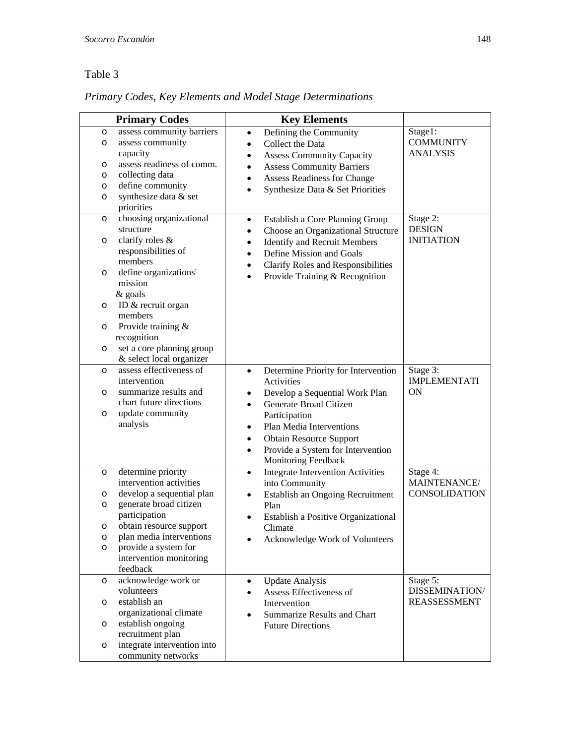### Table 3

*Primary Codes, Key Elements and Model Stage Determinations* 

|                                                          | <b>Primary Codes</b>                                                                                                                                                 | <b>Key Elements</b>                                                                                                                                                                                                                                           |                                                  |
|----------------------------------------------------------|----------------------------------------------------------------------------------------------------------------------------------------------------------------------|---------------------------------------------------------------------------------------------------------------------------------------------------------------------------------------------------------------------------------------------------------------|--------------------------------------------------|
| O<br>$\circ$<br>$\circ$<br>$\circ$<br>$\circ$<br>$\circ$ | assess community barriers<br>assess community<br>capacity<br>assess readiness of comm.<br>collecting data<br>define community<br>synthesize data & set<br>priorities | Defining the Community<br>$\bullet$<br>Collect the Data<br>$\bullet$<br><b>Assess Community Capacity</b><br>$\bullet$<br><b>Assess Community Barriers</b><br><b>Assess Readiness for Change</b><br>$\bullet$<br>Synthesize Data & Set Priorities<br>$\bullet$ | Stage1:<br><b>COMMUNITY</b><br><b>ANALYSIS</b>   |
| $\circ$<br>$\circ$                                       | choosing organizational<br>structure<br>clarify roles &<br>responsibilities of                                                                                       | Establish a Core Planning Group<br>$\bullet$<br>Choose an Organizational Structure<br>$\bullet$<br><b>Identify and Recruit Members</b><br>$\bullet$<br>Define Mission and Goals<br>$\bullet$                                                                  | Stage 2:<br><b>DESIGN</b><br><b>INITIATION</b>   |
| $\circ$                                                  | members<br>define organizations'<br>mission<br>& goals                                                                                                               | Clarify Roles and Responsibilities<br>$\bullet$<br>Provide Training & Recognition<br>$\bullet$                                                                                                                                                                |                                                  |
| $\circ$                                                  | ID & recruit organ<br>members                                                                                                                                        |                                                                                                                                                                                                                                                               |                                                  |
| $\circ$                                                  | Provide training &<br>recognition                                                                                                                                    |                                                                                                                                                                                                                                                               |                                                  |
| $\circ$                                                  | set a core planning group<br>& select local organizer                                                                                                                |                                                                                                                                                                                                                                                               |                                                  |
| $\circ$                                                  | assess effectiveness of<br>intervention                                                                                                                              | Determine Priority for Intervention<br>$\bullet$<br>Activities                                                                                                                                                                                                | Stage 3:<br><b>IMPLEMENTATI</b>                  |
| $\circ$<br>$\circ$                                       | summarize results and<br>chart future directions<br>update community<br>analysis                                                                                     | Develop a Sequential Work Plan<br>٠<br>Generate Broad Citizen<br>$\bullet$<br>Participation<br>Plan Media Interventions<br>$\bullet$<br><b>Obtain Resource Support</b><br>$\bullet$<br>Provide a System for Intervention<br>$\bullet$<br>Monitoring Feedback  | <b>ON</b>                                        |
| $\circ$                                                  | determine priority<br>intervention activities                                                                                                                        | <b>Integrate Intervention Activities</b><br>$\bullet$<br>into Community                                                                                                                                                                                       | Stage 4:<br>MAINTENANCE/<br><b>CONSOLIDATION</b> |
| $\circ$<br>$\circ$<br>$\circ$                            | develop a sequential plan<br>generate broad citizen<br>participation<br>obtain resource support                                                                      | Establish an Ongoing Recruitment<br>$\bullet$<br>Plan<br>Establish a Positive Organizational<br>Climate                                                                                                                                                       |                                                  |
| O<br>$\circ$                                             | plan media interventions<br>provide a system for<br>intervention monitoring<br>feedback                                                                              | Acknowledge Work of Volunteers                                                                                                                                                                                                                                |                                                  |
| $\circ$                                                  | acknowledge work or<br>volunteers                                                                                                                                    | <b>Update Analysis</b><br>$\bullet$<br>Assess Effectiveness of                                                                                                                                                                                                | Stage 5:<br>DISSEMINATION/                       |
| $\circ$                                                  | establish an<br>organizational climate                                                                                                                               | Intervention<br><b>Summarize Results and Chart</b>                                                                                                                                                                                                            | <b>REASSESSMENT</b>                              |
| $\circ$                                                  | establish ongoing<br>recruitment plan                                                                                                                                | <b>Future Directions</b>                                                                                                                                                                                                                                      |                                                  |
| $\circ$                                                  | integrate intervention into<br>community networks                                                                                                                    |                                                                                                                                                                                                                                                               |                                                  |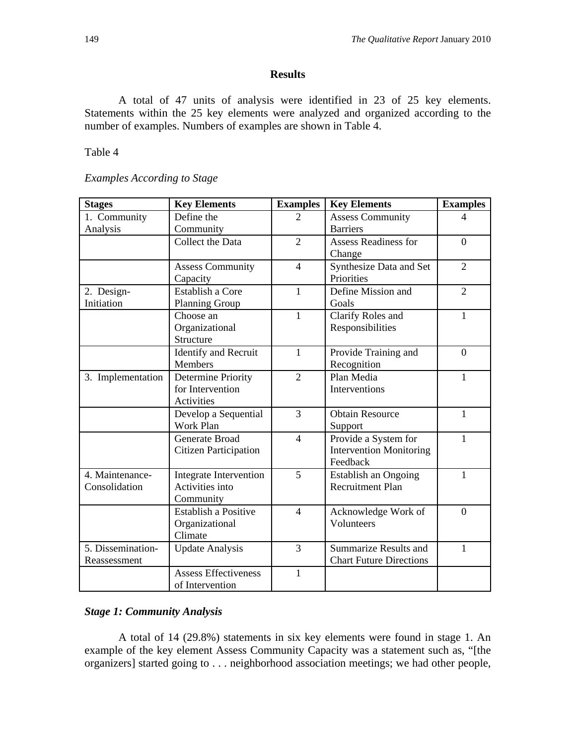### **Results**

A total of 47 units of analysis were identified in 23 of 25 key elements. Statements within the 25 key elements were analyzed and organized according to the number of examples. Numbers of examples are shown in Table 4.

Table 4

### *Examples According to Stage*

| <b>Stages</b>     | <b>Key Elements</b>           | <b>Examples</b>          | <b>Key Elements</b>            | <b>Examples</b> |
|-------------------|-------------------------------|--------------------------|--------------------------------|-----------------|
| 1. Community      | Define the                    | $\overline{2}$           | <b>Assess Community</b>        | $\overline{4}$  |
| Analysis          | Community                     |                          | <b>Barriers</b>                |                 |
|                   | Collect the Data              | $\overline{2}$           | <b>Assess Readiness for</b>    | $\Omega$        |
|                   |                               |                          | Change                         |                 |
|                   | <b>Assess Community</b>       | $\overline{4}$           | Synthesize Data and Set        | $\overline{2}$  |
|                   | Capacity                      |                          | Priorities                     |                 |
| 2. Design-        | Establish a Core              | $\mathbf{1}$             | Define Mission and             | $\overline{2}$  |
| Initiation        | <b>Planning Group</b>         |                          | Goals                          |                 |
|                   | Choose an                     | $\mathbf{1}$             | Clarify Roles and              | $\mathbf{1}$    |
|                   | Organizational                |                          | Responsibilities               |                 |
|                   | Structure                     |                          |                                |                 |
|                   | <b>Identify and Recruit</b>   | $\mathbf{1}$             | Provide Training and           | $\overline{0}$  |
|                   | <b>Members</b>                |                          | Recognition                    |                 |
| 3. Implementation | Determine Priority            | $\overline{2}$           | Plan Media                     | $\mathbf{1}$    |
|                   | for Intervention              |                          | Interventions                  |                 |
|                   | Activities                    |                          |                                |                 |
|                   | Develop a Sequential          | 3                        | <b>Obtain Resource</b>         | $\mathbf{1}$    |
|                   | <b>Work Plan</b>              |                          | Support                        |                 |
|                   | Generate Broad                | $\overline{\mathcal{L}}$ | Provide a System for           | $\mathbf{1}$    |
|                   | <b>Citizen Participation</b>  |                          | <b>Intervention Monitoring</b> |                 |
|                   |                               |                          | Feedback                       |                 |
| 4. Maintenance-   | <b>Integrate Intervention</b> | 5                        | Establish an Ongoing           | $\mathbf{1}$    |
| Consolidation     | Activities into               |                          | <b>Recruitment Plan</b>        |                 |
|                   | Community                     |                          |                                |                 |
|                   | <b>Establish a Positive</b>   | $\overline{4}$           | Acknowledge Work of            | $\theta$        |
|                   | Organizational                |                          | Volunteers                     |                 |
|                   | Climate                       |                          |                                |                 |
| 5. Dissemination- | <b>Update Analysis</b>        | 3                        | <b>Summarize Results and</b>   | $\mathbf{1}$    |
| Reassessment      |                               |                          | <b>Chart Future Directions</b> |                 |
|                   | <b>Assess Effectiveness</b>   | $\mathbf{1}$             |                                |                 |
|                   | of Intervention               |                          |                                |                 |

### *Stage 1: Community Analysis*

A total of 14 (29.8%) statements in six key elements were found in stage 1. An example of the key element Assess Community Capacity was a statement such as, "[the organizers] started going to . . . neighborhood association meetings; we had other people,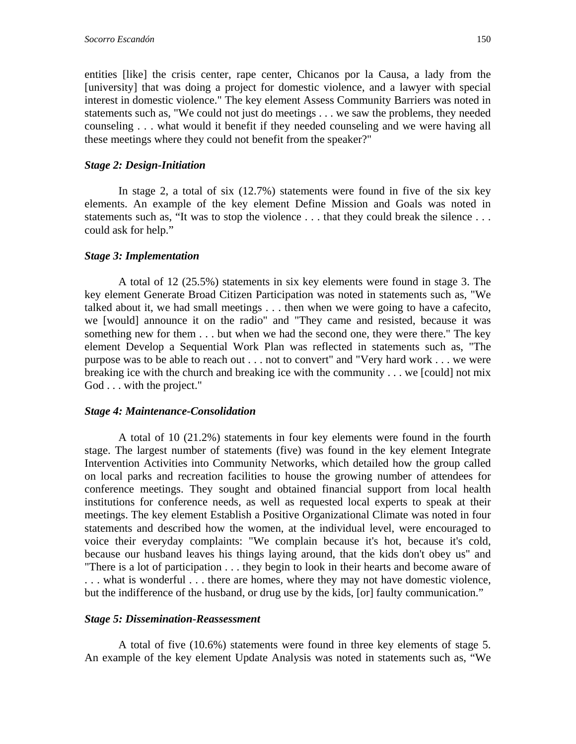entities [like] the crisis center, rape center, Chicanos por la Causa, a lady from the [university] that was doing a project for domestic violence, and a lawyer with special interest in domestic violence." The key element Assess Community Barriers was noted in statements such as, "We could not just do meetings . . . we saw the problems, they needed counseling . . . what would it benefit if they needed counseling and we were having all these meetings where they could not benefit from the speaker?"

### *Stage 2: Design-Initiation*

In stage 2, a total of six (12.7%) statements were found in five of the six key elements. An example of the key element Define Mission and Goals was noted in statements such as, "It was to stop the violence . . . that they could break the silence . . . could ask for help."

### *Stage 3: Implementation*

A total of 12 (25.5%) statements in six key elements were found in stage 3. The key element Generate Broad Citizen Participation was noted in statements such as, "We talked about it, we had small meetings . . . then when we were going to have a cafecito, we [would] announce it on the radio" and "They came and resisted, because it was something new for them . . . but when we had the second one, they were there." The key element Develop a Sequential Work Plan was reflected in statements such as, "The purpose was to be able to reach out . . . not to convert" and "Very hard work . . . we were breaking ice with the church and breaking ice with the community . . . we [could] not mix God . . . with the project."

### *Stage 4: Maintenance-Consolidation*

A total of 10 (21.2%) statements in four key elements were found in the fourth stage. The largest number of statements (five) was found in the key element Integrate Intervention Activities into Community Networks, which detailed how the group called on local parks and recreation facilities to house the growing number of attendees for conference meetings. They sought and obtained financial support from local health institutions for conference needs, as well as requested local experts to speak at their meetings. The key element Establish a Positive Organizational Climate was noted in four statements and described how the women, at the individual level, were encouraged to voice their everyday complaints: "We complain because it's hot, because it's cold, because our husband leaves his things laying around, that the kids don't obey us" and "There is a lot of participation . . . they begin to look in their hearts and become aware of . . . what is wonderful . . . there are homes, where they may not have domestic violence, but the indifference of the husband, or drug use by the kids, [or] faulty communication."

### *Stage 5: Dissemination-Reassessment*

A total of five (10.6%) statements were found in three key elements of stage 5. An example of the key element Update Analysis was noted in statements such as, "We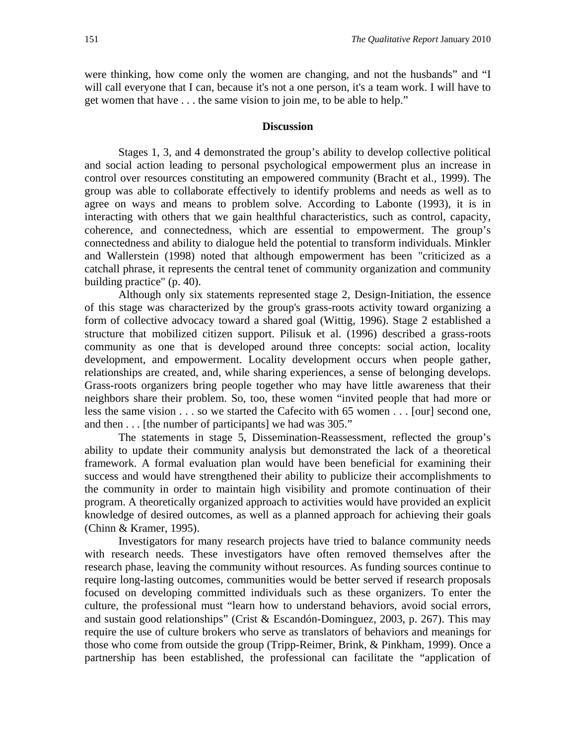were thinking, how come only the women are changing, and not the husbands" and "I will call everyone that I can, because it's not a one person, it's a team work. I will have to get women that have . . . the same vision to join me, to be able to help."

### **Discussion**

Stages 1, 3, and 4 demonstrated the group's ability to develop collective political and social action leading to personal psychological empowerment plus an increase in control over resources constituting an empowered community (Bracht et al., 1999). The group was able to collaborate effectively to identify problems and needs as well as to agree on ways and means to problem solve. According to Labonte (1993), it is in interacting with others that we gain healthful characteristics, such as control, capacity, coherence, and connectedness, which are essential to empowerment. The group's connectedness and ability to dialogue held the potential to transform individuals. Minkler and Wallerstein (1998) noted that although empowerment has been "criticized as a catchall phrase, it represents the central tenet of community organization and community building practice" (p. 40).

Although only six statements represented stage 2, Design-Initiation, the essence of this stage was characterized by the group's grass-roots activity toward organizing a form of collective advocacy toward a shared goal (Wittig, 1996). Stage 2 established a structure that mobilized citizen support. Pilisuk et al. (1996) described a grass-roots community as one that is developed around three concepts: social action, locality development, and empowerment. Locality development occurs when people gather, relationships are created, and, while sharing experiences, a sense of belonging develops. Grass-roots organizers bring people together who may have little awareness that their neighbors share their problem. So, too, these women "invited people that had more or less the same vision . . . so we started the Cafecito with 65 women . . . [our] second one, and then . . . [the number of participants] we had was 305."

The statements in stage 5, Dissemination-Reassessment, reflected the group's ability to update their community analysis but demonstrated the lack of a theoretical framework. A formal evaluation plan would have been beneficial for examining their success and would have strengthened their ability to publicize their accomplishments to the community in order to maintain high visibility and promote continuation of their program. A theoretically organized approach to activities would have provided an explicit knowledge of desired outcomes, as well as a planned approach for achieving their goals (Chinn & Kramer, 1995).

Investigators for many research projects have tried to balance community needs with research needs. These investigators have often removed themselves after the research phase, leaving the community without resources. As funding sources continue to require long-lasting outcomes, communities would be better served if research proposals focused on developing committed individuals such as these organizers. To enter the culture, the professional must "learn how to understand behaviors, avoid social errors, and sustain good relationships" (Crist & Escandón-Dominguez, 2003, p. 267). This may require the use of culture brokers who serve as translators of behaviors and meanings for those who come from outside the group (Tripp-Reimer, Brink, & Pinkham, 1999). Once a partnership has been established, the professional can facilitate the "application of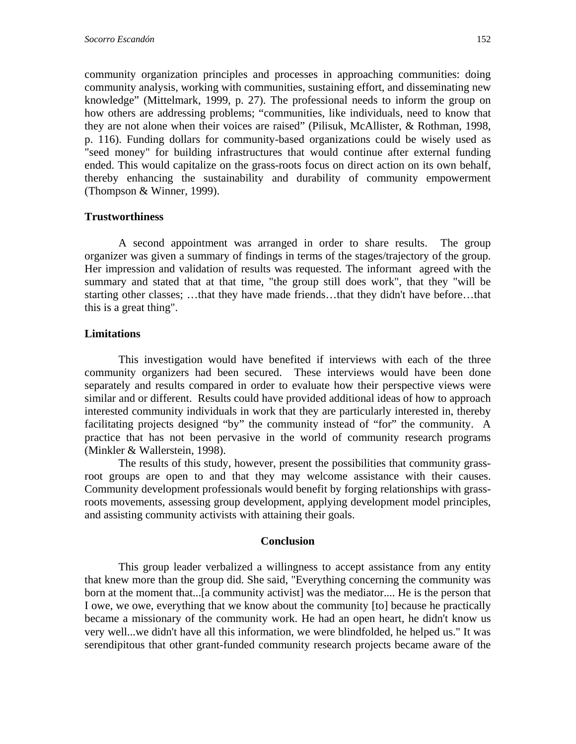community organization principles and processes in approaching communities: doing community analysis, working with communities, sustaining effort, and disseminating new knowledge" (Mittelmark, 1999, p. 27). The professional needs to inform the group on how others are addressing problems; "communities, like individuals, need to know that they are not alone when their voices are raised" (Pilisuk, McAllister, & Rothman, 1998, p. 116). Funding dollars for community-based organizations could be wisely used as "seed money" for building infrastructures that would continue after external funding ended. This would capitalize on the grass-roots focus on direct action on its own behalf, thereby enhancing the sustainability and durability of community empowerment (Thompson & Winner, 1999).

### **Trustworthiness**

A second appointment was arranged in order to share results. The group organizer was given a summary of findings in terms of the stages/trajectory of the group. Her impression and validation of results was requested. The informant agreed with the summary and stated that at that time, "the group still does work", that they "will be starting other classes; …that they have made friends…that they didn't have before…that this is a great thing".

### **Limitations**

This investigation would have benefited if interviews with each of the three community organizers had been secured. These interviews would have been done separately and results compared in order to evaluate how their perspective views were similar and or different. Results could have provided additional ideas of how to approach interested community individuals in work that they are particularly interested in, thereby facilitating projects designed "by" the community instead of "for" the community. A practice that has not been pervasive in the world of community research programs (Minkler & Wallerstein, 1998).

The results of this study, however, present the possibilities that community grassroot groups are open to and that they may welcome assistance with their causes. Community development professionals would benefit by forging relationships with grassroots movements, assessing group development, applying development model principles, and assisting community activists with attaining their goals.

### **Conclusion**

This group leader verbalized a willingness to accept assistance from any entity that knew more than the group did. She said, "Everything concerning the community was born at the moment that...[a community activist] was the mediator.... He is the person that I owe, we owe, everything that we know about the community [to] because he practically became a missionary of the community work. He had an open heart, he didn't know us very well...we didn't have all this information, we were blindfolded, he helped us." It was serendipitous that other grant-funded community research projects became aware of the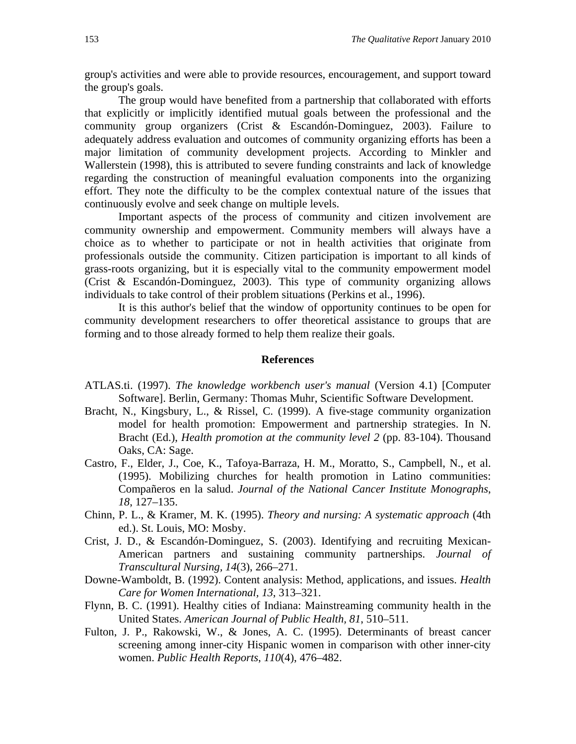group's activities and were able to provide resources, encouragement, and support toward the group's goals.

The group would have benefited from a partnership that collaborated with efforts that explicitly or implicitly identified mutual goals between the professional and the community group organizers (Crist & Escandón-Dominguez, 2003). Failure to adequately address evaluation and outcomes of community organizing efforts has been a major limitation of community development projects. According to Minkler and Wallerstein (1998), this is attributed to severe funding constraints and lack of knowledge regarding the construction of meaningful evaluation components into the organizing effort. They note the difficulty to be the complex contextual nature of the issues that continuously evolve and seek change on multiple levels.

Important aspects of the process of community and citizen involvement are community ownership and empowerment. Community members will always have a choice as to whether to participate or not in health activities that originate from professionals outside the community. Citizen participation is important to all kinds of grass-roots organizing, but it is especially vital to the community empowerment model (Crist & Escandón-Dominguez, 2003). This type of community organizing allows individuals to take control of their problem situations (Perkins et al., 1996).

It is this author's belief that the window of opportunity continues to be open for community development researchers to offer theoretical assistance to groups that are forming and to those already formed to help them realize their goals.

#### **References**

- ATLAS.ti. (1997). *The knowledge workbench user's manual* (Version 4.1) [Computer Software]. Berlin, Germany: Thomas Muhr, Scientific Software Development.
- Bracht, N., Kingsbury, L., & Rissel, C. (1999). A five-stage community organization model for health promotion: Empowerment and partnership strategies. In N. Bracht (Ed.), *Health promotion at the community level 2* (pp. 83-104). Thousand Oaks, CA: Sage.
- Castro, F., Elder, J., Coe, K., Tafoya-Barraza, H. M., Moratto, S., Campbell, N., et al. (1995). Mobilizing churches for health promotion in Latino communities: Compañeros en la salud. *Journal of the National Cancer Institute Monographs*, *18*, 127–135.
- Chinn, P. L., & Kramer, M. K. (1995). *Theory and nursing: A systematic approach* (4th ed.). St. Louis, MO: Mosby.
- Crist, J. D., & Escandón-Dominguez, S. (2003). Identifying and recruiting Mexican-American partners and sustaining community partnerships. *Journal of Transcultural Nursing, 14*(3), 266–271.
- Downe-Wamboldt, B. (1992). Content analysis: Method, applications, and issues. *Health Care for Women International, 13*, 313–321.
- Flynn, B. C. (1991). Healthy cities of Indiana: Mainstreaming community health in the United States. *American Journal of Public Health, 81*, 510–511.
- Fulton, J. P., Rakowski, W., & Jones, A. C. (1995). Determinants of breast cancer screening among inner-city Hispanic women in comparison with other inner-city women. *Public Health Reports*, *110*(4), 476–482.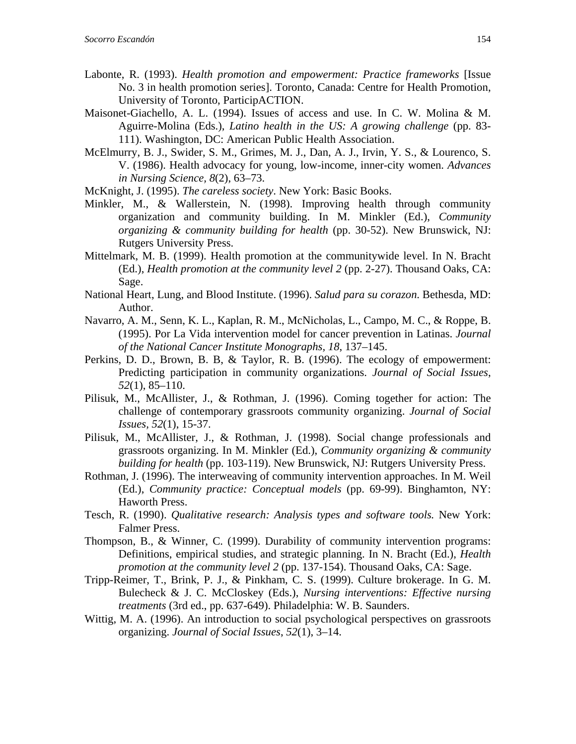- Labonte, R. (1993). *Health promotion and empowerment: Practice frameworks* [Issue No. 3 in health promotion series]. Toronto, Canada: Centre for Health Promotion, University of Toronto, ParticipACTION.
- Maisonet-Giachello, A. L. (1994). Issues of access and use. In C. W. Molina & M. Aguirre-Molina (Eds.), *Latino health in the US: A growing challenge* (pp. 83- 111). Washington, DC: American Public Health Association.
- McElmurry, B. J., Swider, S. M., Grimes, M. J., Dan, A. J., Irvin, Y. S., & Lourenco, S. V. (1986). Health advocacy for young, low-income, inner-city women. *Advances in Nursing Science, 8*(2), 63–73.
- McKnight, J. (1995). *The careless society*. New York: Basic Books.
- Minkler, M., & Wallerstein, N. (1998). Improving health through community organization and community building. In M. Minkler (Ed.), *Community organizing & community building for health* (pp. 30-52). New Brunswick, NJ: Rutgers University Press.
- Mittelmark, M. B. (1999). Health promotion at the communitywide level. In N. Bracht (Ed.), *Health promotion at the community level 2* (pp. 2-27). Thousand Oaks, CA: Sage.
- National Heart, Lung, and Blood Institute. (1996). *Salud para su corazon*. Bethesda, MD: Author.
- Navarro, A. M., Senn, K. L., Kaplan, R. M., McNicholas, L., Campo, M. C., & Roppe, B. (1995). Por La Vida intervention model for cancer prevention in Latinas. *Journal of the National Cancer Institute Monographs, 18*, 137–145.
- Perkins, D. D., Brown, B. B, & Taylor, R. B. (1996). The ecology of empowerment: Predicting participation in community organizations. *Journal of Social Issues*, *52*(1), 85–110.
- Pilisuk, M., McAllister, J., & Rothman, J. (1996). Coming together for action: The challenge of contemporary grassroots community organizing. *Journal of Social Issues, 52*(1), 15-37.
- Pilisuk, M., McAllister, J., & Rothman, J. (1998). Social change professionals and grassroots organizing. In M. Minkler (Ed.), *Community organizing & community building for health* (pp. 103-119). New Brunswick, NJ: Rutgers University Press.
- Rothman, J. (1996). The interweaving of community intervention approaches. In M. Weil (Ed.), *Community practice: Conceptual models* (pp. 69-99). Binghamton, NY: Haworth Press.
- Tesch, R. (1990). *Qualitative research: Analysis types and software tools.* New York: Falmer Press.
- Thompson, B., & Winner, C. (1999). Durability of community intervention programs: Definitions, empirical studies, and strategic planning. In N. Bracht (Ed.), *Health promotion at the community level 2 (pp. 137-154). Thousand Oaks, CA: Sage.*
- Tripp-Reimer, T., Brink, P. J., & Pinkham, C. S. (1999). Culture brokerage. In G. M. Bulecheck & J. C. McCloskey (Eds.), *Nursing interventions: Effective nursing treatments* (3rd ed., pp. 637-649). Philadelphia: W. B. Saunders.
- Wittig, M. A. (1996). An introduction to social psychological perspectives on grassroots organizing. *Journal of Social Issues*, *52*(1), 3–14.